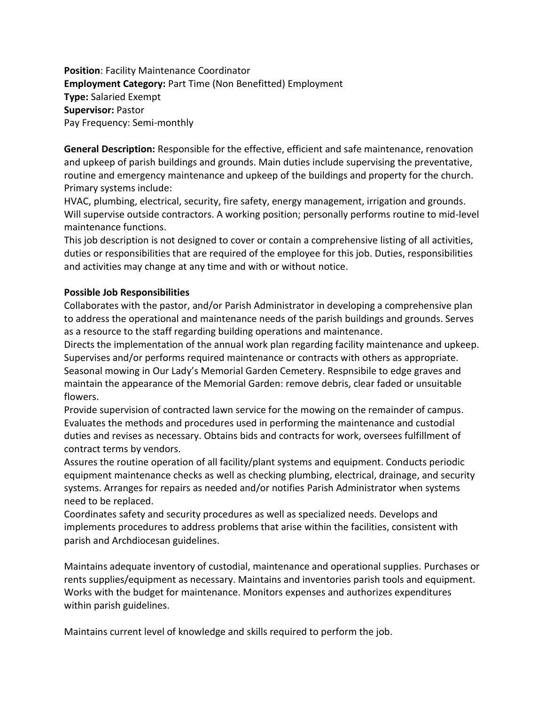**Position**: Facility Maintenance Coordinator **Employment Category:** Part Time (Non Benefitted) Employment **Type:** Salaried Exempt **Supervisor:** Pastor Pay Frequency: Semi-monthly

**General Description:** Responsible for the effective, efficient and safe maintenance, renovation and upkeep of parish buildings and grounds. Main duties include supervising the preventative, routine and emergency maintenance and upkeep of the buildings and property for the church. Primary systems include:

HVAC, plumbing, electrical, security, fire safety, energy management, irrigation and grounds. Will supervise outside contractors. A working position; personally performs routine to mid-level maintenance functions.

This job description is not designed to cover or contain a comprehensive listing of all activities, duties or responsibilities that are required of the employee for this job. Duties, responsibilities and activities may change at any time and with or without notice.

## **Possible Job Responsibilities**

Collaborates with the pastor, and/or Parish Administrator in developing a comprehensive plan to address the operational and maintenance needs of the parish buildings and grounds. Serves as a resource to the staff regarding building operations and maintenance.

Directs the implementation of the annual work plan regarding facility maintenance and upkeep. Supervises and/or performs required maintenance or contracts with others as appropriate. Seasonal mowing in Our Lady's Memorial Garden Cemetery. Respnsibile to edge graves and maintain the appearance of the Memorial Garden: remove debris, clear faded or unsuitable flowers.

Provide supervision of contracted lawn service for the mowing on the remainder of campus. Evaluates the methods and procedures used in performing the maintenance and custodial duties and revises as necessary. Obtains bids and contracts for work, oversees fulfillment of contract terms by vendors.

Assures the routine operation of all facility/plant systems and equipment. Conducts periodic equipment maintenance checks as well as checking plumbing, electrical, drainage, and security systems. Arranges for repairs as needed and/or notifies Parish Administrator when systems need to be replaced.

Coordinates safety and security procedures as well as specialized needs. Develops and implements procedures to address problems that arise within the facilities, consistent with parish and Archdiocesan guidelines.

Maintains adequate inventory of custodial, maintenance and operational supplies. Purchases or rents supplies/equipment as necessary. Maintains and inventories parish tools and equipment. Works with the budget for maintenance. Monitors expenses and authorizes expenditures within parish guidelines.

Maintains current level of knowledge and skills required to perform the job.